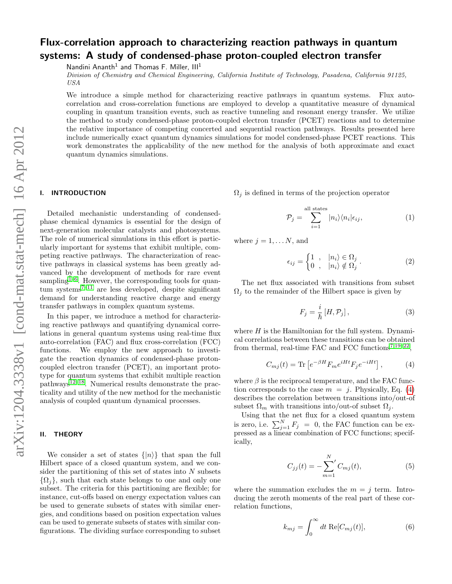# Flux-correlation approach to characterizing reaction pathways in quantum systems: A study of condensed-phase proton-coupled electron transfer

Nandini Ananth<sup>1</sup> and Thomas F. Miller,  $III<sup>1</sup>$ 

Division of Chemistry and Chemical Engineering, California Institute of Technology, Pasadena, California 91125, USA

We introduce a simple method for characterizing reactive pathways in quantum systems. Flux autocorrelation and cross-correlation functions are employed to develop a quantitative measure of dynamical coupling in quantum transition events, such as reactive tunneling and resonant energy transfer. We utilize the method to study condensed-phase proton-coupled electron transfer (PCET) reactions and to determine the relative importance of competing concerted and sequential reaction pathways. Results presented here include numerically exact quantum dynamics simulations for model condensed-phase PCET reactions. This work demonstrates the applicability of the new method for the analysis of both approximate and exact quantum dynamics simulations.

### I. INTRODUCTION

Detailed mechanistic understanding of condensedphase chemical dynamics is essential for the design of next-generation molecular catalysts and photosystems. The role of numerical simulations in this effort is particularly important for systems that exhibit multiple, competing reactive pathways. The characterization of reactive pathways in classical systems has been greatly advanced by the development of methods for rare event sampling<sup>[1–](#page-5-0)[6](#page-5-1)</sup>. However, the corresponding tools for quan $tum$  systems<sup>[7](#page-5-2)-11</sup> are less developed, despite significant demand for understanding reactive charge and energy transfer pathways in complex quantum systems.

In this paper, we introduce a method for characterizing reactive pathways and quantifying dynamical correlations in general quantum systems using real-time flux auto-correlation (FAC) and flux cross-correlation (FCC) functions. We employ the new approach to investigate the reaction dynamics of condensed-phase protoncoupled electron transfer (PCET), an important prototype for quantum systems that exhibit multiple reaction  $pathways^{12-18}$  $pathways^{12-18}$  $pathways^{12-18}$ . Numerical results demonstrate the practicality and utility of the new method for the mechanistic analysis of coupled quantum dynamical processes.

# II. THEORY

We consider a set of states  $\{|n\rangle\}$  that span the full Hilbert space of a closed quantum system, and we consider the partitioning of this set of states into  $N$  subsets  $\{\Omega_i\}$ , such that each state belongs to one and only one subset. The criteria for this partitioning are flexible; for instance, cut-offs based on energy expectation values can be used to generate subsets of states with similar energies, and conditions based on position expectation values can be used to generate subsets of states with similar configurations. The dividing surface corresponding to subset  $\Omega_j$  is defined in terms of the projection operator

$$
\mathcal{P}_j = \sum_{i=1}^{\text{all states}} |n_i\rangle\langle n_i|\epsilon_{ij},\tag{1}
$$

where  $i = 1, \ldots N$ , and

$$
\epsilon_{ij} = \begin{cases} 1, & |n_i\rangle \in \Omega_j \\ 0, & |n_i\rangle \notin \Omega_j \end{cases} . \tag{2}
$$

The net flux associated with transitions from subset  $\Omega_i$  to the remainder of the Hilbert space is given by

$$
F_j = \frac{i}{\hbar} \left[ H, \mathcal{P}_j \right],\tag{3}
$$

where  $H$  is the Hamiltonian for the full system. Dynamical correlations between these transitions can be obtained from thermal, real-time FAC and FCC functions<sup>[7,](#page-5-2)[19–](#page-5-6)[22](#page-5-7)</sup>,

<span id="page-0-0"></span>
$$
C_{mj}(t) = \text{Tr}\left[e^{-\beta H}F_m e^{iHt}F_j e^{-iHt}\right],\tag{4}
$$

where  $\beta$  is the reciprocal temperature, and the FAC function corresponds to the case  $m = j$ . Physically, Eq. [\(4\)](#page-0-0) describes the correlation between transitions into/out-of subset  $\Omega_m$  with transitions into/out-of subset  $\Omega_i$ .

Using that the net flux for a closed quantum system is zero, i.e.  $\sum_{j=1}^{N} F_j = 0$ , the FAC function can be expressed as a linear combination of FCC functions; specifically,

<span id="page-0-1"></span>
$$
C_{jj}(t) = -\sum_{m=1}^{N} C_{mj}(t),
$$
\n(5)

where the summation excludes the  $m = j$  term. Introducing the zeroth moments of the real part of these correlation functions,

<span id="page-0-2"></span>
$$
k_{mj} = \int_0^\infty dt \, \text{Re}[C_{mj}(t)],\tag{6}
$$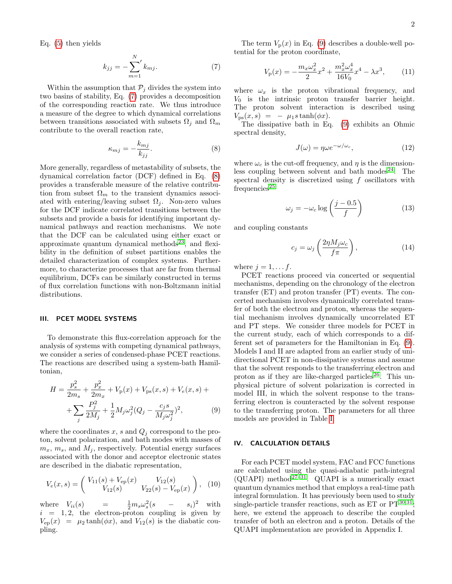Eq. [\(5\)](#page-0-1) then yields

<span id="page-1-0"></span>
$$
k_{jj} = -\sum_{m=1}^{N} k_{mj}.
$$
 (7)

Within the assumption that  $P_j$  divides the system into two basins of stability, Eq. [\(7\)](#page-1-0) provides a decomposition of the corresponding reaction rate. We thus introduce a measure of the degree to which dynamical correlations between transitions associated with subsets  $\Omega_i$  and  $\Omega_m$ contribute to the overall reaction rate,

<span id="page-1-1"></span>
$$
\kappa_{mj} = -\frac{k_{mj}}{k_{jj}}.\tag{8}
$$

More generally, regardless of metastability of subsets, the dynamical correlation factor (DCF) defined in Eq. [\(8\)](#page-1-1) provides a transferable measure of the relative contribution from subset  $\Omega_m$  to the transient dynamics associated with entering/leaving subset  $\Omega_i$ . Non-zero values for the DCF indicate correlated transitions between the subsets and provide a basis for identifying important dynamical pathways and reaction mechanisms. We note that the DCF can be calculated using either exact or approximate quantum dynamical methods $23$ , and flexibility in the definition of subset partitions enables the detailed characterization of complex systems. Furthermore, to characterize processes that are far from thermal equilibrium, DCFs can be similarly constructed in terms of flux correlation functions with non-Boltzmann initial distributions.

#### III. PCET MODEL SYSTEMS

To demonstrate this flux-correlation approach for the analysis of systems with competing dynamical pathways, we consider a series of condensed-phase PCET reactions. The reactions are described using a system-bath Hamiltonian,

<span id="page-1-2"></span>
$$
H = \frac{p_s^2}{2m_s} + \frac{p_x^2}{2m_x} + V_p(x) + V_{ps}(x, s) + V_e(x, s) +
$$
  
+ 
$$
\sum_j \frac{P_j^2}{2M_j} + \frac{1}{2} M_j \omega_j^2 (Q_j - \frac{c_j s}{M_j \omega_j^2})^2,
$$
 (9)

where the coordinates  $x$ ,  $s$  and  $Q_j$  correspond to the proton, solvent polarization, and bath modes with masses of  $m_x, m_s$ , and  $M_i$ , respectively. Potential energy surfaces associated with the donor and acceptor electronic states are described in the diabatic representation,

$$
V_e(x,s) = \begin{pmatrix} V_{11}(s) + V_{ep}(x) & V_{12}(s) \\ V_{12}(s) & V_{22}(s) - V_{ep}(x) \end{pmatrix}, (10)
$$

where  $V_{ii}(s)$  =  $\frac{1}{2}m_s\omega_s^2(s - s_i)^2$  with  $i = 1, 2$ , the electron-proton coupling is given by  $V_{ep}(x) = \mu_2 \tanh(\phi x)$ , and  $V_{12}(s)$  is the diabatic coupling.

The term  $V_p(x)$  in Eq. [\(9\)](#page-1-2) describes a double-well potential for the proton coordinate,

$$
V_{\rm p}(x) = -\frac{m_x \omega_x^2}{2} x^2 + \frac{m_x^2 \omega_x^4}{16V_0} x^4 - \lambda x^3, \qquad (11)
$$

where  $\omega_x$  is the proton vibrational frequency, and  $V_0$  is the intrinsic proton transfer barrier height. The proton solvent interaction is described using  $V_{\text{ps}}(x, s) = -\mu_1 s \tanh(\phi x).$ 

The dissipative bath in Eq. [\(9\)](#page-1-2) exhibits an Ohmic spectral density,

$$
J(\omega) = \eta \omega e^{-\omega/\omega_c},\tag{12}
$$

where  $\omega_c$  is the cut-off frequency, and  $\eta$  is the dimension-less coupling between solvent and bath modes<sup>[24](#page-5-9)</sup>. The spectral density is discretized using f oscillators with  $frequencies<sup>25</sup>$  $frequencies<sup>25</sup>$  $frequencies<sup>25</sup>$ 

$$
\omega_j = -\omega_c \log \left( \frac{j - 0.5}{f} \right) \tag{13}
$$

and coupling constants

$$
c_j = \omega_j \left( \frac{2\eta M_j \omega_c}{f \pi} \right),\tag{14}
$$

where  $j = 1, \ldots f$ .

PCET reactions proceed via concerted or sequential mechanisms, depending on the chronology of the electron transfer (ET) and proton transfer (PT) events. The concerted mechanism involves dynamically correlated transfer of both the electron and proton, whereas the sequential mechanism involves dynamically uncorrelated ET and PT steps. We consider three models for PCET in the current study, each of which corresponds to a different set of parameters for the Hamiltonian in Eq. [\(9\)](#page-1-2). Models I and II are adapted from an earlier study of unidirectional PCET in non-dissipative systems and assume that the solvent responds to the transferring electron and proton as if they are like-charged particles<sup>[26](#page-5-11)</sup>. This unphysical picture of solvent polarization is corrected in model III, in which the solvent response to the transferring electron is counteracted by the solvent response to the transferring proton. The parameters for all three models are provided in Table [I.](#page-2-0)

#### IV. CALCULATION DETAILS

For each PCET model system, FAC and FCC functions are calculated using the quasi-adiabatic path-integral (QUAPI) method<sup>[27](#page-5-12)[–31](#page-5-13)</sup>. QUAPI is a numerically exact quantum dynamics method that employs a real-time path integral formulation. It has previously been used to study single-particle transfer reactions, such as  $ET$  or  $PT^{30,31}$  $PT^{30,31}$  $PT^{30,31}$  $PT^{30,31}$ ; here, we extend the approach to describe the coupled transfer of both an electron and a proton. Details of the QUAPI implementation are provided in Appendix I.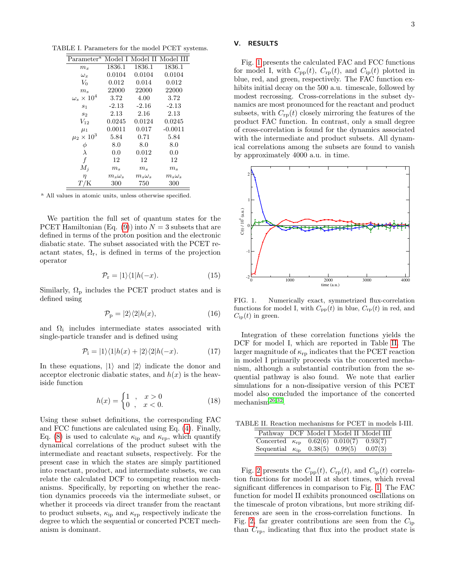TABLE I. Parameters for the model PCET systems.

<span id="page-2-0"></span>

| Parameter <sup>a</sup> |               |               | Model I Model II Model III |
|------------------------|---------------|---------------|----------------------------|
| $m_x$                  | 1836.1        | 1836.1        | 1836.1                     |
| $\omega_x$             | 0.0104        | 0.0104        | 0.0104                     |
| $V_0$                  | 0.012         | 0.014         | 0.012                      |
| $m_{s}$                | 22000         | 22000         | 22000                      |
| $\omega_s\times10^4$   | 3.72          | 4.00          | 3.72                       |
| $s_1$                  | $-2.13$       | $-2.16$       | $-2.13$                    |
| S <sub>2</sub>         | 2.13          | 2.16          | 2.13                       |
| $V_{12}$               | 0.0245        | 0.0124        | 0.0245                     |
| $\mu_1$                | 0.0011        | 0.017         | $-0.0011$                  |
| $\mu_2 \times 10^3$    | 5.84          | 0.71          | 5.84                       |
| $\phi$                 | 8.0           | 8.0           | 8.0                        |
| λ                      | 0.0           | 0.012         | 0.0                        |
| f                      | 12            | 12            | 12                         |
| $M_i$                  | $m_s$         | $m_s$         | $m_s$                      |
| η                      | $m_s\omega_s$ | $m_s\omega_s$ | $m_s\omega_s$              |
|                        | 300           | 750           | 300                        |

<sup>a</sup> All values in atomic units, unless otherwise specified.

We partition the full set of quantum states for the PCET Hamiltonian (Eq. [\(9\)](#page-1-2)) into  $N = 3$  subsets that are defined in terms of the proton position and the electronic diabatic state. The subset associated with the PCET reactant states,  $\Omega_r$ , is defined in terms of the projection operator

<span id="page-2-3"></span>
$$
\mathcal{P}_{\mathbf{r}} = |1\rangle\langle 1|h(-x). \tag{15}
$$

Similarly,  $\Omega_{\rm p}$  includes the PCET product states and is defined using

$$
\mathcal{P}_{\mathbf{p}} = |2\rangle\langle 2|h(x),\tag{16}
$$

and  $\Omega_i$  includes intermediate states associated with single-particle transfer and is defined using

<span id="page-2-4"></span>
$$
\mathcal{P}_{i} = |1\rangle\langle 1|h(x) + |2\rangle\langle 2|h(-x). \qquad (17)
$$

In these equations,  $|1\rangle$  and  $|2\rangle$  indicate the donor and acceptor electronic diabatic states, and  $h(x)$  is the heaviside function

$$
h(x) = \begin{cases} 1, & x > 0 \\ 0, & x < 0. \end{cases}
$$
 (18)

Using these subset definitions, the corresponding FAC and FCC functions are calculated using Eq. [\(4\)](#page-0-0). Finally, Eq. [\(8\)](#page-1-1) is used to calculate  $\kappa_{\rm ip}$  and  $\kappa_{\rm rp}$ , which quantify dynamical correlations of the product subset with the intermediate and reactant subsets, respectively. For the present case in which the states are simply partitioned into reactant, product, and intermediate subsets, we can relate the calculated DCF to competing reaction mechanisms. Specifically, by reporting on whether the reaction dynamics proceeds via the intermediate subset, or whether it proceeds via direct transfer from the reactant to product subsets,  $\kappa_{\rm ip}$  and  $\kappa_{\rm rp}$  respectively indicate the degree to which the sequential or concerted PCET mechanism is dominant.

## V. RESULTS

Fig. [1](#page-2-1) presents the calculated FAC and FCC functions for model I, with  $C_{\text{pp}}(t)$ ,  $C_{\text{rp}}(t)$ , and  $C_{\text{ip}}(t)$  plotted in blue, red, and green, respectively. The FAC function exhibits initial decay on the 500 a.u. timescale, followed by modest recrossing. Cross-correlations in the subset dynamics are most pronounced for the reactant and product subsets, with  $C_{\text{rp}}(t)$  closely mirroring the features of the product FAC function. In contrast, only a small degree of cross-correlation is found for the dynamics associated with the intermediate and product subsets. All dynamical correlations among the subsets are found to vanish by approximately 4000 a.u. in time.



<span id="page-2-1"></span>FIG. 1. Numerically exact, symmetrized flux-correlation functions for model I, with  $C_{\text{pp}}(t)$  in blue,  $C_{\text{rp}}(t)$  in red, and  $C_{\text{ip}}(t)$  in green.

Integration of these correlation functions yields the DCF for model I, which are reported in Table [II.](#page-2-2) The larger magnitude of  $\kappa_{\rm rp}$  indicates that the PCET reaction in model I primarily proceeds via the concerted mechanism, although a substantial contribution from the sequential pathway is also found. We note that earlier simulations for a non-dissipative version of this PCET model also concluded the importance of the concerted mechanism<sup>[26](#page-5-11)[,32](#page-5-15)</sup>.

TABLE II. Reaction mechanisms for PCET in models I-III.

<span id="page-2-2"></span>

|                                                      |  | Pathway DCF Model I Model II Model III |
|------------------------------------------------------|--|----------------------------------------|
| Concerted $\kappa_{\rm rp}$ 0.62(6) 0.010(7) 0.93(7) |  |                                        |
| Sequential $\kappa_{\rm ip}$ 0.38(5) 0.99(5)         |  | 0.07(3)                                |

Fig. [2](#page-3-0) presents the  $C_{\text{pp}}(t)$ ,  $C_{\text{rp}}(t)$ , and  $C_{\text{ip}}(t)$  correlation functions for model II at short times, which reveal significant differences in comparison to Fig. [1.](#page-2-1) The FAC function for model II exhibits pronounced oscillations on the timescale of proton vibrations, but more striking differences are seen in the cross-correlation functions. In Fig. [2,](#page-3-0) far greater contributions are seen from the  $C_{\text{ip}}$ than  $C_{\text{rp}}$ , indicating that flux into the product state is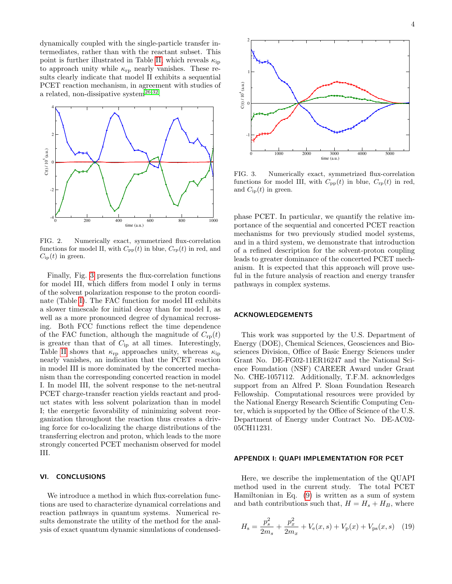dynamically coupled with the single-particle transfer intermediates, rather than with the reactant subset. This point is further illustrated in Table [II,](#page-2-2) which reveals  $\kappa_{\rm ip}$ to approach unity while  $\kappa_{\rm rp}$  nearly vanishes. These results clearly indicate that model II exhibits a sequential PCET reaction mechanism, in agreement with studies of a related, non-dissipative system $^{26,32}$  $^{26,32}$  $^{26,32}$  $^{26,32}$ .



<span id="page-3-0"></span>FIG. 2. Numerically exact, symmetrized flux-correlation functions for model II, with  $C_{\text{pp}}(t)$  in blue,  $C_{\text{rp}}(t)$  in red, and  $C_{\text{ip}}(t)$  in green.

Finally, Fig. [3](#page-3-1) presents the flux-correlation functions for model III, which differs from model I only in terms of the solvent polarization response to the proton coordinate (Table [I\)](#page-2-0). The FAC function for model III exhibits a slower timescale for initial decay than for model I, as well as a more pronounced degree of dynamical recrossing. Both FCC functions reflect the time dependence of the FAC function, although the magnitude of  $C_{\text{rp}}(t)$ is greater than that of  $C_{ip}$  at all times. Interestingly, Table [II](#page-2-2) shows that  $\kappa_{\rm rp}$  approaches unity, whereas  $\kappa_{\rm ip}$ nearly vanishes, an indication that the PCET reaction in model III is more dominated by the concerted mechanism than the corresponding concerted reaction in model I. In model III, the solvent response to the net-neutral PCET charge-transfer reaction yields reactant and product states with less solvent polarization than in model I; the energetic favorability of minimizing solvent reorganization throughout the reaction thus creates a driving force for co-localizing the charge distributions of the transferring electron and proton, which leads to the more strongly concerted PCET mechanism observed for model III.

#### VI. CONCLUSIONS

We introduce a method in which flux-correlation functions are used to characterize dynamical correlations and reaction pathways in quantum systems. Numerical results demonstrate the utility of the method for the analysis of exact quantum dynamic simulations of condensed-



<span id="page-3-1"></span>FIG. 3. Numerically exact, symmetrized flux-correlation functions for model III, with  $C_{\text{pp}}(t)$  in blue,  $C_{\text{rp}}(t)$  in red, and  $C_{ip}(t)$  in green.

phase PCET. In particular, we quantify the relative importance of the sequential and concerted PCET reaction mechanisms for two previously studied model systems, and in a third system, we demonstrate that introduction of a refined description for the solvent-proton coupling leads to greater dominance of the concerted PCET mechanism. It is expected that this approach will prove useful in the future analysis of reaction and energy transfer pathways in complex systems.

# ACKNOWLEDGEMENTS

This work was supported by the U.S. Department of Energy (DOE), Chemical Sciences, Geosciences and Biosciences Division, Office of Basic Energy Sciences under Grant No. DE-FG02-11ER16247 and the National Science Foundation (NSF) CAREER Award under Grant No. CHE-1057112. Additionally, T.F.M. acknowledges support from an Alfred P. Sloan Foundation Research Fellowship. Computational resources were provided by the National Energy Research Scientific Computing Center, which is supported by the Office of Science of the U.S. Department of Energy under Contract No. DE-AC02- 05CH11231.

## APPENDIX I: QUAPI IMPLEMENTATION FOR PCET

Here, we describe the implementation of the QUAPI method used in the current study. The total PCET Hamiltonian in Eq. [\(9\)](#page-1-2) is written as a sum of system and bath contributions such that,  $H = H_s + H_B$ , where

$$
H_{\rm s} = \frac{p_s^2}{2m_s} + \frac{p_x^2}{2m_x} + V_{\rm e}(x, s) + V_{\rm p}(x) + V_{\rm ps}(x, s) \quad (19)
$$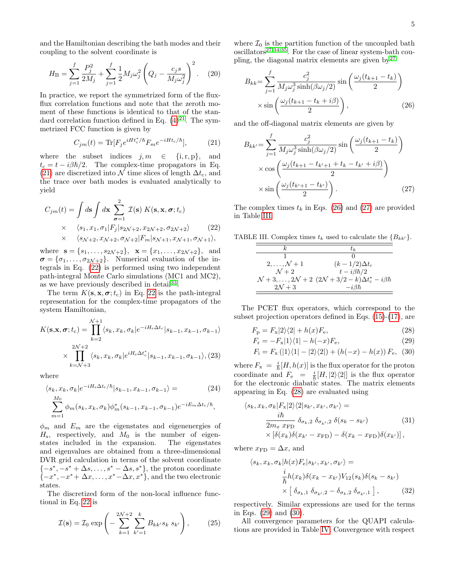and the Hamiltonian describing the bath modes and their coupling to the solvent coordinate is

$$
H_{\rm B} = \sum_{j=1}^{f} \frac{P_j^2}{2M_j} + \sum_{j=1}^{f} \frac{1}{2} M_j \omega_j^2 \left( Q_j - \frac{c_j s}{M_j \omega_j^2} \right)^2.
$$
 (20)

In practice, we report the symmetrized form of the fluxflux correlation functions and note that the zeroth moment of these functions is identical to that of the standard correlation function defined in Eq.  $(4)^{21}$  $(4)^{21}$  $(4)^{21}$  $(4)^{21}$ . The symmetrized FCC function is given by

<span id="page-4-0"></span>
$$
C_{jm}(t) = \text{Tr}[F_j e^{iHt_c^*/\hbar} F_m e^{-iHt_c/\hbar}], \tag{21}
$$

where the subset indices  $j, m \in \{i, r, p\}$ , and  $t_c = t - i\beta\hbar/2$ . The complex-time propagators in Eq. [\(21\)](#page-4-0) are discretized into N time slices of length  $\Delta t_c$ , and the trace over bath modes is evaluated analytically to yield

<span id="page-4-1"></span>
$$
C_{jm}(t) = \int d\mathbf{s} \int d\mathbf{x} \sum_{\sigma=1}^{2} \mathcal{I}(\mathbf{s}) K(\mathbf{s}, \mathbf{x}, \sigma; t_{c})
$$
  
 
$$
\times \quad \langle s_{1}, x_{1}, \sigma_{1} | F_{j} | s_{2N+2}, x_{2N+2}, \sigma_{2N+2} \rangle \qquad (22)
$$
  
 
$$
\times \quad \langle s_{N+2}, x_{N+2}, \sigma_{N+2} | F_{m} | s_{N+1}, x_{N+1}, \sigma_{N+1} \rangle,
$$

where  $\mathbf{s} = \{s_1, \ldots, s_{2N+2}\}, \mathbf{x} = \{x_1, \ldots, x_{2N+2}\}, \text{ and}$  $\sigma = {\sigma_1, \ldots, \sigma_{2\mathcal{N}+2}}$ . Numerical evaluation of the integrals in Eq. [\(22\)](#page-4-1) is performed using two independent path-integral Monte Carlo simulations (MC1 and MC2), as we have previously described in detail<sup>[33](#page-5-17)</sup>.

The term  $K(\mathbf{s}, \mathbf{x}, \sigma; t_c)$  in Eq. [22](#page-4-1) is the path-integral representation for the complex-time propagators of the system Hamiltonian,

$$
K(\mathbf{s}, \mathbf{x}, \sigma; t_c) = \prod_{k=2}^{\mathcal{N}+1} \langle s_k, x_k, \sigma_k | e^{-iH_s \Delta t_c} | s_{k-1}, x_{k-1}, \sigma_{k-1} \rangle
$$
  
 
$$
\times \prod_{k=\mathcal{N}+3}^{2\mathcal{N}+2} \langle s_k, x_k, \sigma_k | e^{iH_s \Delta t_c^*} | s_{k-1}, x_{k-1}, \sigma_{k-1} \rangle, (23)
$$

where

$$
\langle s_k, x_k, \sigma_k | e^{-iH_s \Delta t_c/\hbar} | s_{k-1}, x_{k-1}, \sigma_{k-1} \rangle =
$$
\n
$$
\sum_{m=1}^{M_0} \phi_m(s_k, x_k, \sigma_k) \phi_m^*(s_{k-1}, x_{k-1}, \sigma_{k-1}) e^{-iE_m \Delta t_c/\hbar},
$$
\n(24)

 $\phi_m$  and  $E_m$  are the eigenstates and eigenenergies of  $H<sub>s</sub>$ , respectively, and  $M<sub>0</sub>$  is the number of eigenstates included in the expansion. The eigenstates and eigenvalues are obtained from a three-dimensional DVR grid calculation in terms of the solvent coordinate  ${-s^*,-s^*+\Delta s,\ldots,s^*-\Delta s,s^*}$ , the proton coordinate  $\{-x^*, -x^*+\Delta x, \ldots, x^*-\Delta x, x^*\}$ , and the two electronic states.

The discretized form of the non-local influence functional in Eq. [22](#page-4-1) is

$$
\mathcal{I}(\mathbf{s}) = \mathcal{I}_0 \exp\left(-\sum_{k=1}^{2N+2} \sum_{k'=1}^k B_{kk'} s_k s_{k'}\right),\tag{25}
$$

where  $\mathcal{I}_0$  is the partition function of the uncoupled bath oscillators<sup>[27,](#page-5-12)[34](#page-5-18)[,35](#page-5-19)</sup>. For the case of linear system-bath coupling, the diagonal matrix elements are given by  $2^7$ 

<span id="page-4-2"></span>
$$
B_{kk} = \sum_{j=1}^{f} \frac{c_j^2}{M_j \omega_j^3 \sinh(\beta \omega_j/2)} \sin\left(\frac{\omega_j (t_{k+1} - t_k)}{2}\right)
$$

$$
\times \sin\left(\frac{\omega_j (t_{k+1} - t_k + i\beta)}{2}\right),
$$
(26)

and the off-diagonal matrix elements are given by

<span id="page-4-3"></span>
$$
B_{kk'} = \sum_{j=1}^{f} \frac{c_j^2}{M_j \omega_j^3 \sinh(\beta \omega_j/2)} \sin\left(\frac{\omega_j (t_{k+1} - t_k)}{2}\right)
$$

$$
\times \cos\left(\frac{\omega_j (t_{k+1} - t_{k'+1} + t_k - t_{k'} + i\beta)}{2}\right)
$$

$$
\times \sin\left(\frac{\omega_j (t_{k'+1} - t_{k'})}{2}\right).
$$
(27)

The complex times  $t_k$  in Eqs. [\(26\)](#page-4-2) and [\(27\)](#page-4-3) are provided in Table [III.](#page-4-4)

TABLE III. Complex times  $t_k$  used to calculate the  ${B_{kk'}}.$ 

<span id="page-4-4"></span>

| k                    | t_k                                        |
|----------------------|--------------------------------------------|
| 1                    | 0                                          |
| 2, ..., N + 1        | $(k - 1/2)\Delta t_c$                      |
| $N + 2$              | $t - i\beta\hbar/2$                        |
| $N + 3, ..., 2N + 2$ | $(2N + 3/2 - k)\Delta t_c^* - i\beta\hbar$ |
| $2N + 3$             | $-i\beta\hbar$                             |

The PCET flux operators, which correspond to the subset projection operators defined in Eqs. [\(15\)](#page-2-3)-[\(17\)](#page-2-4), are

<span id="page-4-5"></span>
$$
F_{\rm p} = F_{\rm x}|2\rangle\langle 2| + h(x)F_{\rm e},\tag{28}
$$

$$
F_{\rm r} = -F_{\rm x}|1\rangle\langle 1| - h(-x)F_{\rm e},\tag{29}
$$

$$
F_{\rm i} = F_{\rm x} \left( |1\rangle\langle 1| - |2\rangle\langle 2| \right) + \left( h(-x) - h(x) \right) F_{\rm e}, \tag{30}
$$

where  $F_{\mathbf{x}} = \frac{i}{\hbar} [H, h(x)]$  is the flux operator for the proton coordinate and  $F_e = \frac{i}{\hbar} [H, 2\rangle\langle 2|]$  is the flux operator for the electronic diabatic states. The matrix elements appearing in Eq. [\(28\)](#page-4-5) are evaluated using

$$
\langle s_k, x_k, \sigma_k | F_{\mathbf{x}} | 2 \rangle \langle 2 | s_{k'}, x_{k'}, \sigma_{k'} \rangle =
$$
  
\n
$$
\frac{i\hbar}{2m_x \, x_{\text{FD}}} \, \delta_{\sigma_k, 2} \, \delta_{\sigma_{k'}, 2} \, \delta(s_k - s_{k'}) \qquad (31)
$$
  
\n
$$
\times \left[ \delta(x_k) \delta(x_{k'} - x_{\text{FD}}) - \delta(x_k - x_{\text{FD}}) \delta(x_{k'}) \right],
$$

where  $x_{\text{FD}} = \Delta x$ , and

$$
\langle s_k, x_k, \sigma_k | h(x) F_e | s_{k'}, x_{k'}, \sigma_{k'} \rangle =
$$
  
\n
$$
\frac{i}{\hbar} h(x_k) \delta(x_k - x_{k'}) V_{12}(s_k) \delta(s_k - s_{k'})
$$
  
\n
$$
\times \left[ \delta_{\sigma_k, 1} \delta_{\sigma_{k'}, 2} - \delta_{\sigma_k, 2} \delta_{\sigma_{k'}, 1} \right],
$$
\n(32)

respectively. Similar expressions are used for the terms in Eqs. [\(29\)](#page-4-5) and [\(30\)](#page-4-5).

All convergence parameters for the QUAPI calculations are provided in Table [IV.](#page-5-20) Convergence with respect